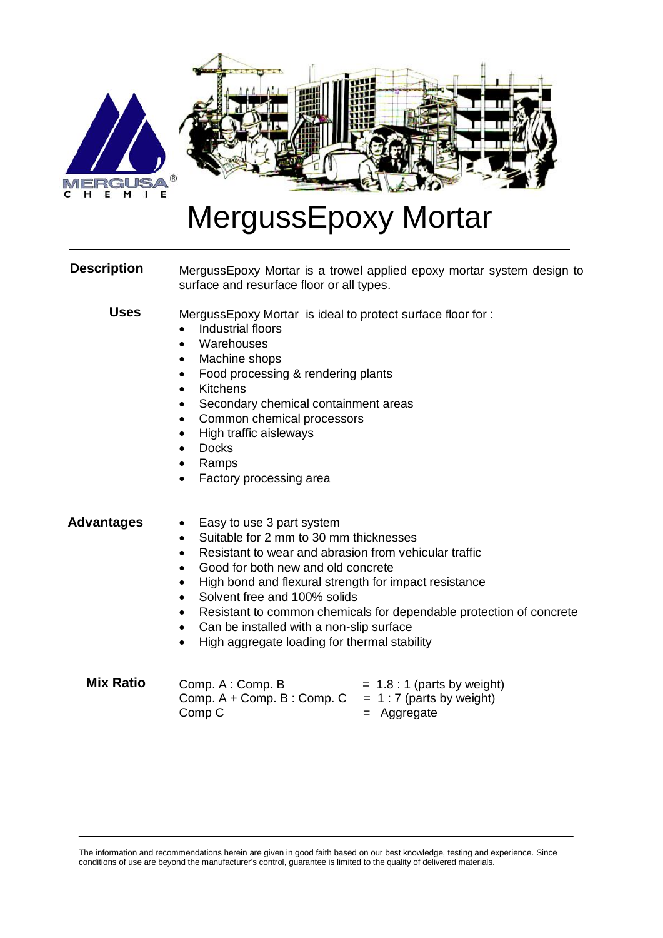

## MergussEpoxy Mortar

| <b>Description</b> | MergussEpoxy Mortar is a trowel applied epoxy mortar system design to<br>surface and resurface floor or all types.                                                                                                                                                                                                                                                                                                                                                                                                                                  |  |  |
|--------------------|-----------------------------------------------------------------------------------------------------------------------------------------------------------------------------------------------------------------------------------------------------------------------------------------------------------------------------------------------------------------------------------------------------------------------------------------------------------------------------------------------------------------------------------------------------|--|--|
| <b>Uses</b>        | MergussEpoxy Mortar is ideal to protect surface floor for:<br>Industrial floors<br>$\bullet$<br>Warehouses<br>$\bullet$<br>Machine shops<br>$\bullet$<br>Food processing & rendering plants<br>$\bullet$<br><b>Kitchens</b><br>$\bullet$<br>Secondary chemical containment areas<br>Common chemical processors<br>$\bullet$<br>High traffic aisleways<br>$\bullet$<br><b>Docks</b><br>$\bullet$<br>Ramps<br>$\bullet$<br>Factory processing area<br>$\bullet$                                                                                       |  |  |
| <b>Advantages</b>  | Easy to use 3 part system<br>$\bullet$<br>Suitable for 2 mm to 30 mm thicknesses<br>$\bullet$<br>Resistant to wear and abrasion from vehicular traffic<br>$\bullet$<br>Good for both new and old concrete<br>$\bullet$<br>High bond and flexural strength for impact resistance<br>$\bullet$<br>Solvent free and 100% solids<br>$\bullet$<br>Resistant to common chemicals for dependable protection of concrete<br>$\bullet$<br>Can be installed with a non-slip surface<br>$\bullet$<br>High aggregate loading for thermal stability<br>$\bullet$ |  |  |
| <b>Mix Ratio</b>   | Comp. A: Comp. B<br>$= 1.8:1$ (parts by weight)<br>$Comp. A + Comp. B : Comp. C$<br>$= 1:7$ (parts by weight)<br>Comp <sub>C</sub><br>Aggregate<br>$=$                                                                                                                                                                                                                                                                                                                                                                                              |  |  |

The information and recommendations herein are given in good faith based on our best knowledge, testing and experience. Since conditions of use are beyond the manufacturer's control, guarantee is limited to the quality of delivered materials.